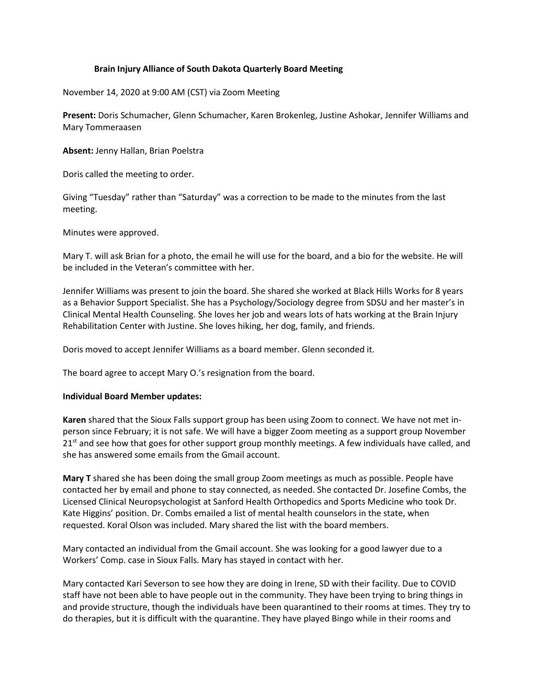## **Brain Injury Alliance of South Dakota Quarterly Board Meeting**

November 14, 2020 at 9:00 AM (CST) via Zoom Meeting

**Present:** Doris Schumacher, Glenn Schumacher, Karen Brokenleg, Justine Ashokar, Jennifer Williams and Mary Tommeraasen

**Absent:** Jenny Hallan, Brian Poelstra

Doris called the meeting to order.

Giving "Tuesday" rather than "Saturday" was a correction to be made to the minutes from the last meeting.

Minutes were approved.

Mary T. will ask Brian for a photo, the email he will use for the board, and a bio for the website. He will be included in the Veteran's committee with her.

Jennifer Williams was present to join the board. She shared she worked at Black Hills Works for 8 years as a Behavior Support Specialist. She has a Psychology/Sociology degree from SDSU and her master's in Clinical Mental Health Counseling. She loves her job and wears lots of hats working at the Brain Injury Rehabilitation Center with Justine. She loves hiking, her dog, family, and friends.

Doris moved to accept Jennifer Williams as a board member. Glenn seconded it.

The board agree to accept Mary O.'s resignation from the board.

## **Individual Board Member updates:**

**Karen** shared that the Sioux Falls support group has been using Zoom to connect. We have not met inperson since February; it is not safe. We will have a bigger Zoom meeting as a support group November  $21<sup>st</sup>$  and see how that goes for other support group monthly meetings. A few individuals have called, and she has answered some emails from the Gmail account.

**Mary T** shared she has been doing the small group Zoom meetings as much as possible. People have contacted her by email and phone to stay connected, as needed. She contacted Dr. Josefine Combs, the Licensed Clinical Neuropsychologist at Sanford Health Orthopedics and Sports Medicine who took Dr. Kate Higgins' position. Dr. Combs emailed a list of mental health counselors in the state, when requested. Koral Olson was included. Mary shared the list with the board members.

Mary contacted an individual from the Gmail account. She was looking for a good lawyer due to a Workers' Comp. case in Sioux Falls. Mary has stayed in contact with her.

Mary contacted Kari Severson to see how they are doing in Irene, SD with their facility. Due to COVID staff have not been able to have people out in the community. They have been trying to bring things in and provide structure, though the individuals have been quarantined to their rooms at times. They try to do therapies, but it is difficult with the quarantine. They have played Bingo while in their rooms and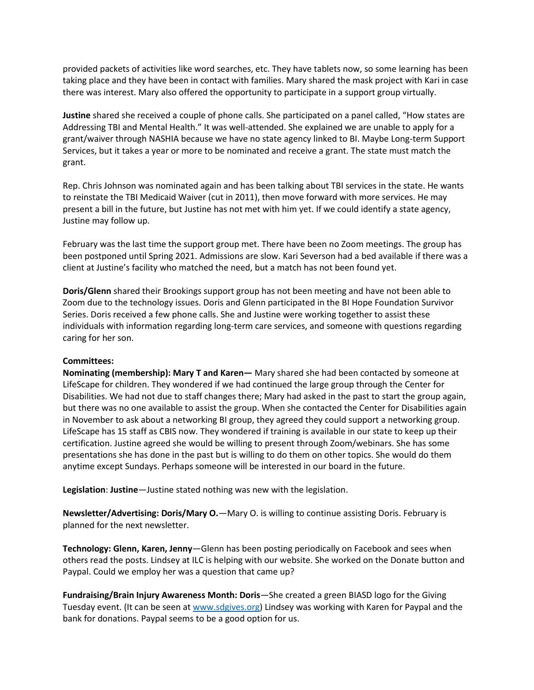provided packets of activities like word searches, etc. They have tablets now, so some learning has been taking place and they have been in contact with families. Mary shared the mask project with Kari in case there was interest. Mary also offered the opportunity to participate in a support group virtually.

**Justine** shared she received a couple of phone calls. She participated on a panel called, "How states are Addressing TBI and Mental Health." It was well-attended. She explained we are unable to apply for a grant/waiver through NASHIA because we have no state agency linked to BI. Maybe Long-term Support Services, but it takes a year or more to be nominated and receive a grant. The state must match the grant.

Rep. Chris Johnson was nominated again and has been talking about TBI services in the state. He wants to reinstate the TBI Medicaid Waiver (cut in 2011), then move forward with more services. He may present a bill in the future, but Justine has not met with him yet. If we could identify a state agency, Justine may follow up.

February was the last time the support group met. There have been no Zoom meetings. The group has been postponed until Spring 2021. Admissions are slow. Kari Severson had a bed available if there was a client at Justine's facility who matched the need, but a match has not been found yet.

**Doris/Glenn** shared their Brookings support group has not been meeting and have not been able to Zoom due to the technology issues. Doris and Glenn participated in the BI Hope Foundation Survivor Series. Doris received a few phone calls. She and Justine were working together to assist these individuals with information regarding long-term care services, and someone with questions regarding caring for her son.

## **Committees:**

**Nominating (membership): Mary T and Karen—** Mary shared she had been contacted by someone at LifeScape for children. They wondered if we had continued the large group through the Center for Disabilities. We had not due to staff changes there; Mary had asked in the past to start the group again, but there was no one available to assist the group. When she contacted the Center for Disabilities again in November to ask about a networking BI group, they agreed they could support a networking group. LifeScape has 15 staff as CBIS now. They wondered if training is available in our state to keep up their certification. Justine agreed she would be willing to present through Zoom/webinars. She has some presentations she has done in the past but is willing to do them on other topics. She would do them anytime except Sundays. Perhaps someone will be interested in our board in the future.

**Legislation**: **Justine**—Justine stated nothing was new with the legislation.

**Newsletter/Advertising: Doris/Mary O.**—Mary O. is willing to continue assisting Doris. February is planned for the next newsletter.

**Technology: Glenn, Karen, Jenny**—Glenn has been posting periodically on Facebook and sees when others read the posts. Lindsey at ILC is helping with our website. She worked on the Donate button and Paypal. Could we employ her was a question that came up?

**Fundraising/Brain Injury Awareness Month: Doris**—She created a green BIASD logo for the Giving Tuesday event. (It can be seen at [www.sdgives.org\)](http://www.sdgives.org/) Lindsey was working with Karen for Paypal and the bank for donations. Paypal seems to be a good option for us.